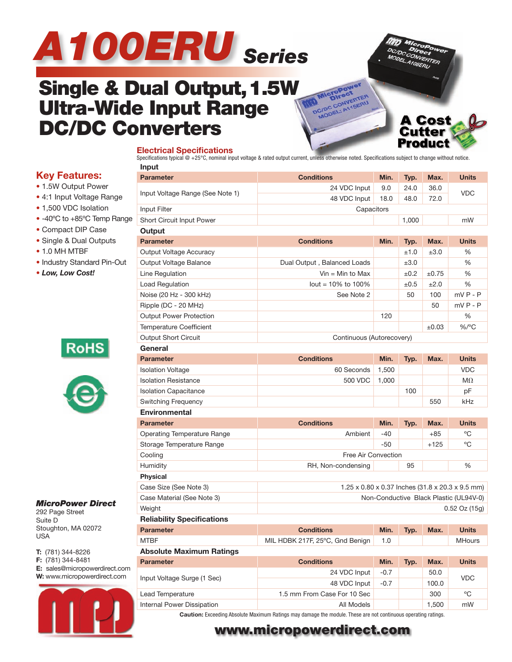



**A Cost Cutter** Product

# **Single & Dual Output, 1.5W Ultra-Wide Input Range DC/DC Converters**

#### **Electrical Specifications**

Specifications typical  $@ + 25\degree$ C, nominal input voltage & rated output current, unless otherwise noted. Specifications subject to change without notice. **Input**

### **Key Features:**

- 1.5W Output Power
- 4:1 Input Voltage Range
- 1,500 VDC Isolation
- -40ºC to +85ºC Temp Range
- Compact DIP Case
- Single & Dual Outputs
- 1.0 MH MTBF
- Industry Standard Pin-Out
- *Low, Low Cost!*



#### *MicroPower Direct*

292 Page Street Suite D Stoughton, MA 02072 USA

**T:** (781) 344-8226 **F:** (781) 344-8481 **E:** sales@micropowerdirect.com **W:** www.micropowerdirect.com



| put                                |                                                  |        |           |            |               |  |  |  |
|------------------------------------|--------------------------------------------------|--------|-----------|------------|---------------|--|--|--|
| <b>Parameter</b>                   | <b>Conditions</b>                                | Min.   | Typ.      | Max.       | <b>Units</b>  |  |  |  |
| Input Voltage Range (See Note 1)   | 24 VDC Input                                     | 9.0    | 24.0      | 36.0       | <b>VDC</b>    |  |  |  |
|                                    | 48 VDC Input<br>18.0<br>48.0<br>72.0             |        |           |            |               |  |  |  |
| Input Filter                       | Capacitors                                       |        |           |            |               |  |  |  |
| Short Circuit Input Power          | 1,000                                            |        |           |            |               |  |  |  |
| Output                             |                                                  |        |           |            |               |  |  |  |
| <b>Parameter</b>                   | <b>Conditions</b>                                | Min.   | Typ.      | Max.       | <b>Units</b>  |  |  |  |
| Output Voltage Accuracy            |                                                  |        | ±1.0      | ±3.0       | %             |  |  |  |
| Output Voltage Balance             | Dual Output, Balanced Loads                      |        | ±3.0      |            | %             |  |  |  |
| Line Regulation                    | $V$ in = Min to Max                              |        | ±0.2      | $\pm 0.75$ | %             |  |  |  |
| Load Regulation                    | lout = $10\%$ to $100\%$                         |        | $\pm 0.5$ | ±2.0       | %             |  |  |  |
| Noise (20 Hz - 300 kHz)            | See Note 2                                       |        | 50        | 100        | $mVP - P$     |  |  |  |
| Ripple (DC - 20 MHz)               |                                                  |        |           | 50         | $mVP - P$     |  |  |  |
| <b>Output Power Protection</b>     |                                                  | 120    |           |            | %             |  |  |  |
| <b>Temperature Coefficient</b>     |                                                  |        |           | $\pm 0.03$ | %/°C          |  |  |  |
| Output Short Circuit               | Continuous (Autorecovery)                        |        |           |            |               |  |  |  |
| General                            |                                                  |        |           |            |               |  |  |  |
| <b>Parameter</b>                   | <b>Conditions</b>                                | Min.   | Typ.      | Max.       | <b>Units</b>  |  |  |  |
| <b>Isolation Voltage</b>           | 60 Seconds                                       | 1,500  |           |            | <b>VDC</b>    |  |  |  |
| <b>Isolation Resistance</b>        | 500 VDC                                          | 1,000  |           |            | $M\Omega$     |  |  |  |
| <b>Isolation Capacitance</b>       |                                                  |        | 100       |            | pF            |  |  |  |
| <b>Switching Frequency</b>         |                                                  |        |           | 550        | kHz           |  |  |  |
| <b>Environmental</b>               |                                                  |        |           |            |               |  |  |  |
| <b>Parameter</b>                   | <b>Conditions</b>                                | Min.   | Typ.      | Max.       | <b>Units</b>  |  |  |  |
| <b>Operating Temperature Range</b> | Ambient                                          | -40    |           | $+85$      | °C            |  |  |  |
| Storage Temperature Range          |                                                  | $-50$  |           | $+125$     | °C            |  |  |  |
| Cooling                            | Free Air Convection                              |        |           |            |               |  |  |  |
| Humidity                           | 95<br>%<br>RH, Non-condensing                    |        |           |            |               |  |  |  |
| <b>Physical</b>                    |                                                  |        |           |            |               |  |  |  |
| Case Size (See Note 3)             | 1.25 x 0.80 x 0.37 Inches (31.8 x 20.3 x 9.5 mm) |        |           |            |               |  |  |  |
| Case Material (See Note 3)         | Non-Conductive Black Plastic (UL94V-0)           |        |           |            |               |  |  |  |
| Weight                             | $0.52$ Oz $(15g)$                                |        |           |            |               |  |  |  |
| <b>Reliability Specifications</b>  |                                                  |        |           |            |               |  |  |  |
| <b>Parameter</b>                   | <b>Conditions</b>                                | Min.   | Typ.      | Max.       | <b>Units</b>  |  |  |  |
| <b>MTBF</b>                        | MIL HDBK 217F, 25°C, Gnd Benign                  | 1.0    |           |            | <b>MHours</b> |  |  |  |
| <b>Absolute Maximum Ratings</b>    |                                                  |        |           |            |               |  |  |  |
| <b>Parameter</b>                   | <b>Conditions</b>                                | Min.   | Typ.      | Max.       | <b>Units</b>  |  |  |  |
|                                    | 24 VDC Input                                     | $-0.7$ |           | 50.0       | <b>VDC</b>    |  |  |  |
| Input Voltage Surge (1 Sec)        | 48 VDC Input                                     | $-0.7$ |           | 100.0      |               |  |  |  |
| Lead Temperature                   | 1.5 mm From Case For 10 Sec                      |        |           | 300        | °C            |  |  |  |
| Internal Power Dissipation         | All Models                                       |        |           | 1,500      | mW            |  |  |  |

**Caution:** Exceeding Absolute Maximum Ratings may damage the module. These are not continuous operating ratings.

## **www.micropowerdirect.com**